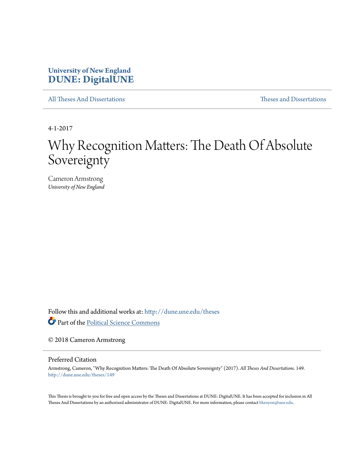### **University of New England [DUNE: DigitalUNE](http://dune.une.edu?utm_source=dune.une.edu%2Ftheses%2F149&utm_medium=PDF&utm_campaign=PDFCoverPages)**

[All Theses And Dissertations](http://dune.une.edu/theses?utm_source=dune.une.edu%2Ftheses%2F149&utm_medium=PDF&utm_campaign=PDFCoverPages) [Theses and Dissertations](http://dune.une.edu/theses_dissertations?utm_source=dune.une.edu%2Ftheses%2F149&utm_medium=PDF&utm_campaign=PDFCoverPages)

4-1-2017

# Why Recognition Matters: The Death Of Absolute Sovereignty

Cameron Armstrong *University of New England*

Follow this and additional works at: [http://dune.une.edu/theses](http://dune.une.edu/theses?utm_source=dune.une.edu%2Ftheses%2F149&utm_medium=PDF&utm_campaign=PDFCoverPages)

Part of the [Political Science Commons](http://network.bepress.com/hgg/discipline/386?utm_source=dune.une.edu%2Ftheses%2F149&utm_medium=PDF&utm_campaign=PDFCoverPages)

© 2018 Cameron Armstrong

Preferred Citation

Armstrong, Cameron, "Why Recognition Matters: The Death Of Absolute Sovereignty" (2017). *All Theses And Dissertations*. 149. [http://dune.une.edu/theses/149](http://dune.une.edu/theses/149?utm_source=dune.une.edu%2Ftheses%2F149&utm_medium=PDF&utm_campaign=PDFCoverPages)

This Thesis is brought to you for free and open access by the Theses and Dissertations at DUNE: DigitalUNE. It has been accepted for inclusion in All Theses And Dissertations by an authorized administrator of DUNE: DigitalUNE. For more information, please contact [bkenyon@une.edu.](mailto:bkenyon@une.edu)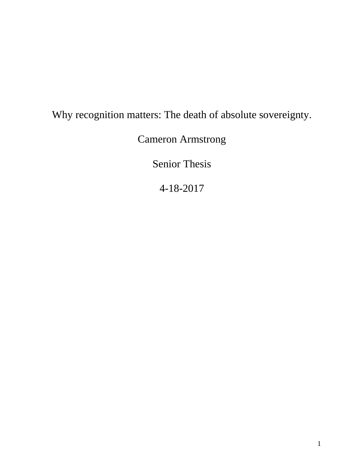## Why recognition matters: The death of absolute sovereignty.

Cameron Armstrong

Senior Thesis

4-18-2017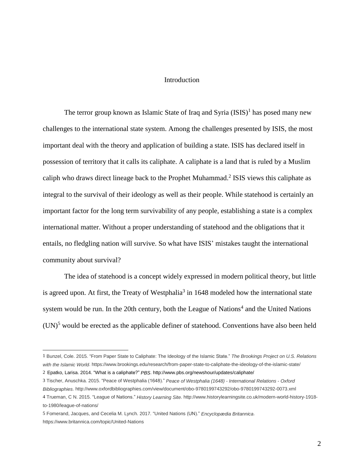#### Introduction

The terror group known as Islamic State of Iraq and Syria  $(ISIS)^1$  has posed many new challenges to the international state system. Among the challenges presented by ISIS, the most important deal with the theory and application of building a state. ISIS has declared itself in possession of territory that it calls its caliphate. A caliphate is a land that is ruled by a Muslim caliph who draws direct lineage back to the Prophet Muhammad.<sup>2</sup> ISIS views this caliphate as integral to the survival of their ideology as well as their people. While statehood is certainly an important factor for the long term survivability of any people, establishing a state is a complex international matter. Without a proper understanding of statehood and the obligations that it entails, no fledgling nation will survive. So what have ISIS' mistakes taught the international community about survival?

The idea of statehood is a concept widely expressed in modern political theory, but little is agreed upon. At first, the Treaty of Westphalia<sup>3</sup> in 1648 modeled how the international state system would be run. In the 20th century, both the League of Nations<sup>4</sup> and the United Nations  $(UN)^5$  would be erected as the applicable definer of statehood. Conventions have also been held

<sup>1</sup> Bunzel, Cole. 2015. "From Paper State to Caliphate: The Ideology of the Islamic State." *The Brookings Project on U.S. Relations with the Islamic World*. https://www.brookings.edu/research/from-paper-state-to-caliphate-the-ideology-of-the-islamic-state/

<sup>2</sup> Epatko, Larisa. 2014. "What is a caliphate?" *PBS*. http://www.pbs.org/newshour/updates/caliphate/

<sup>3</sup> Tischer, Anuschka. 2015. "Peace of Westphalia (1648)." *Peace of Westphalia (1648) - International Relations - Oxford Bibliographies*. http://www.oxfordbibliographies.com/view/document/obo-9780199743292/obo-9780199743292-0073.xml 4 Trueman, C N. 2015. "League of Nations." *History Learning Site*. http://www.historylearningsite.co.uk/modern-world-history-1918 to-1980/league-of-nations/

<sup>5</sup> Fomerand, Jacques, and Cecelia M. Lynch. 2017. "United Nations (UN)." *Encyclopædia Britannica*. https://www.britannica.com/topic/United-Nations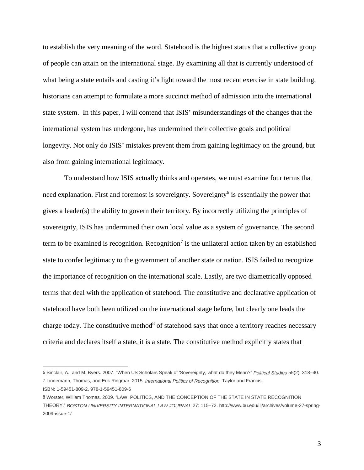to establish the very meaning of the word. Statehood is the highest status that a collective group of people can attain on the international stage. By examining all that is currently understood of what being a state entails and casting it's light toward the most recent exercise in state building, historians can attempt to formulate a more succinct method of admission into the international state system. In this paper, I will contend that ISIS' misunderstandings of the changes that the international system has undergone, has undermined their collective goals and political longevity. Not only do ISIS' mistakes prevent them from gaining legitimacy on the ground, but also from gaining international legitimacy.

To understand how ISIS actually thinks and operates, we must examine four terms that need explanation. First and foremost is sovereignty. Sovereignty<sup>6</sup> is essentially the power that gives a leader(s) the ability to govern their territory. By incorrectly utilizing the principles of sovereignty, ISIS has undermined their own local value as a system of governance. The second term to be examined is recognition. Recognition<sup>7</sup> is the unilateral action taken by an established state to confer legitimacy to the government of another state or nation. ISIS failed to recognize the importance of recognition on the international scale. Lastly, are two diametrically opposed terms that deal with the application of statehood. The constitutive and declarative application of statehood have both been utilized on the international stage before, but clearly one leads the charge today. The constitutive method<sup>8</sup> of statehood says that once a territory reaches necessary criteria and declares itself a state, it is a state. The constitutive method explicitly states that

<sup>6</sup> Sinclair, A., and M. Byers. 2007. "When US Scholars Speak of 'Sovereignty, what do they Mean?" *Political Studies* 55(2): 318–40. 7 Lindemann, Thomas, and Erik Ringmar. 2015. *International Politics of Recognition*. Taylor and Francis. ISBN: 1-59451-809-2, 978-1-59451-809-6

<sup>8</sup> Worster, William Thomas. 2009. "LAW, POLITICS, AND THE CONCEPTION OF THE STATE IN STATE RECOGNITION THEORY." *BOSTON UNIVERSITY INTERNATIONAL LAW JOURNAL* 27: 115–72. http://www.bu.edu/ilj/archives/volume-27-spring-2009-issue-1/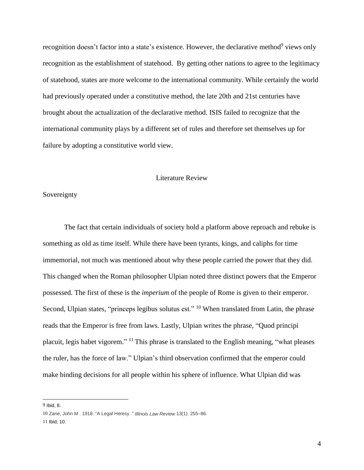recognition doesn't factor into a state's existence. However, the declarative method<sup>9</sup> views only recognition as the establishment of statehood. By getting other nations to agree to the legitimacy of statehood, states are more welcome to the international community. While certainly the world had previously operated under a constitutive method, the late 20th and 21st centuries have brought about the actualization of the declarative method. ISIS failed to recognize that the international community plays by a different set of rules and therefore set themselves up for failure by adopting a constitutive world view.

#### Literature Review

#### Sovereignty

The fact that certain individuals of society hold a platform above reproach and rebuke is something as old as time itself. While there have been tyrants, kings, and caliphs for time immemorial, not much was mentioned about why these people carried the power that they did. This changed when the Roman philosopher Ulpian noted three distinct powers that the Emperor possessed. The first of these is the *imperium* of the people of Rome is given to their emperor. Second, Ulpian states, "princeps legibus solutus est." <sup>10</sup> When translated from Latin, the phrase reads that the Emperor is free from laws. Lastly, Ulpian writes the phrase, "Quod principi placuit, legis habet vigorem." <sup>11</sup> This phrase is translated to the English meaning, "what pleases the ruler, has the force of law." Ulpian's third observation confirmed that the emperor could make binding decisions for all people within his sphere of influence. What Ulpian did was

<sup>9</sup> Ibid, 8.

<sup>10</sup> Zane, John M . 1918. "A Legal Heresy ." *Illinois Law Review* 13(1): 255–86.

<sup>11</sup> Ibid, 10.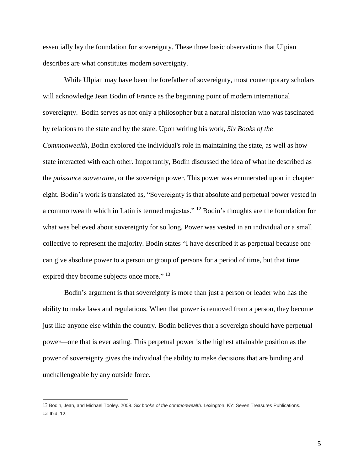essentially lay the foundation for sovereignty. These three basic observations that Ulpian describes are what constitutes modern sovereignty.

While Ulpian may have been the forefather of sovereignty, most contemporary scholars will acknowledge Jean Bodin of France as the beginning point of modern international sovereignty. Bodin serves as not only a philosopher but a natural historian who was fascinated by relations to the state and by the state. Upon writing his work, *Six Books of the Commonwealth*, Bodin explored the individual's role in maintaining the state, as well as how state interacted with each other. Importantly, Bodin discussed the idea of what he described as the *puissance souveraine,* or the sovereign power. This power was enumerated upon in chapter eight. Bodin's work is translated as, "Sovereignty is that absolute and perpetual power vested in a commonwealth which in Latin is termed majestas." <sup>12</sup> Bodin's thoughts are the foundation for what was believed about sovereignty for so long. Power was vested in an individual or a small collective to represent the majority. Bodin states "I have described it as perpetual because one can give absolute power to a person or group of persons for a period of time, but that time expired they become subjects once more." <sup>13</sup>

Bodin's argument is that sovereignty is more than just a person or leader who has the ability to make laws and regulations. When that power is removed from a person, they become just like anyone else within the country. Bodin believes that a sovereign should have perpetual power—one that is everlasting. This perpetual power is the highest attainable position as the power of sovereignty gives the individual the ability to make decisions that are binding and unchallengeable by any outside force.

<sup>12</sup> Bodin, Jean, and Michael Tooley. 2009. *Six books of the commonwealth*. Lexington, KY: Seven Treasures Publications. 13 Ibid, 12.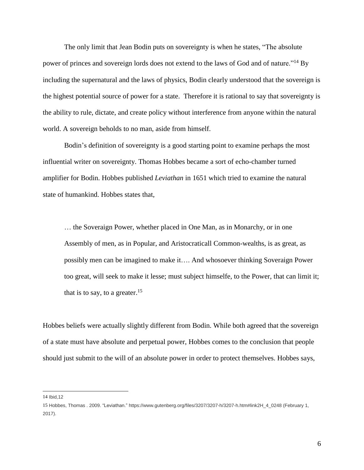The only limit that Jean Bodin puts on sovereignty is when he states, "The absolute power of princes and sovereign lords does not extend to the laws of God and of nature."<sup>14</sup> By including the supernatural and the laws of physics, Bodin clearly understood that the sovereign is the highest potential source of power for a state. Therefore it is rational to say that sovereignty is the ability to rule, dictate, and create policy without interference from anyone within the natural world. A sovereign beholds to no man, aside from himself.

Bodin's definition of sovereignty is a good starting point to examine perhaps the most influential writer on sovereignty. Thomas Hobbes became a sort of echo-chamber turned amplifier for Bodin. Hobbes published *Leviathan* in 1651 which tried to examine the natural state of humankind. Hobbes states that,

… the Soveraign Power, whether placed in One Man, as in Monarchy, or in one Assembly of men, as in Popular, and Aristocraticall Common-wealths, is as great, as possibly men can be imagined to make it…. And whosoever thinking Soveraign Power too great, will seek to make it lesse; must subject himselfe, to the Power, that can limit it; that is to say, to a greater.<sup>15</sup>

Hobbes beliefs were actually slightly different from Bodin. While both agreed that the sovereign of a state must have absolute and perpetual power, Hobbes comes to the conclusion that people should just submit to the will of an absolute power in order to protect themselves. Hobbes says,

14 Ibid,12

<sup>15</sup> Hobbes, Thomas . 2009. "Leviathan." https://www.gutenberg.org/files/3207/3207-h/3207-h.htm#link2H\_4\_0248 (February 1, 2017).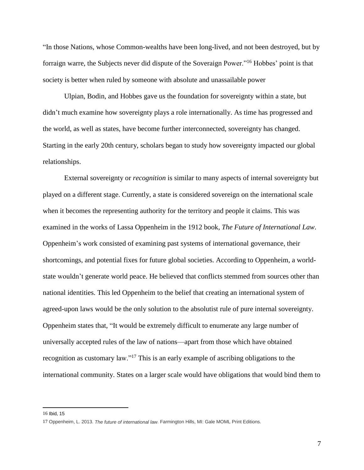"In those Nations, whose Common-wealths have been long-lived, and not been destroyed, but by forraign warre, the Subjects never did dispute of the Soveraign Power."<sup>16</sup> Hobbes' point is that society is better when ruled by someone with absolute and unassailable power

Ulpian, Bodin, and Hobbes gave us the foundation for sovereignty within a state, but didn't much examine how sovereignty plays a role internationally. As time has progressed and the world, as well as states, have become further interconnected, sovereignty has changed. Starting in the early 20th century, scholars began to study how sovereignty impacted our global relationships.

External sovereignty or *recognition* is similar to many aspects of internal sovereignty but played on a different stage. Currently, a state is considered sovereign on the international scale when it becomes the representing authority for the territory and people it claims. This was examined in the works of Lassa Oppenheim in the 1912 book, *The Future of International Law*. Oppenheim's work consisted of examining past systems of international governance, their shortcomings, and potential fixes for future global societies. According to Oppenheim, a worldstate wouldn't generate world peace. He believed that conflicts stemmed from sources other than national identities. This led Oppenheim to the belief that creating an international system of agreed-upon laws would be the only solution to the absolutist rule of pure internal sovereignty. Oppenheim states that, "It would be extremely difficult to enumerate any large number of universally accepted rules of the law of nations—apart from those which have obtained recognition as customary law."<sup>17</sup> This is an early example of ascribing obligations to the international community. States on a larger scale would have obligations that would bind them to

<sup>16</sup> Ibid, 15

<sup>17</sup> Oppenheim, L. 2013. *The future of international law*. Farmington Hills, MI: Gale MOML Print Editions.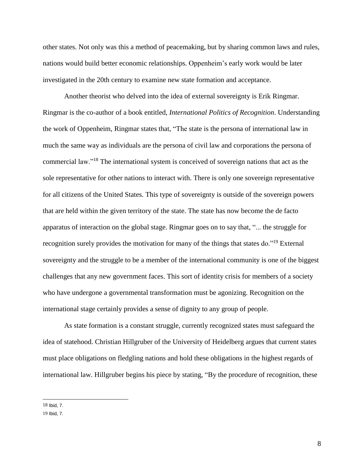other states. Not only was this a method of peacemaking, but by sharing common laws and rules, nations would build better economic relationships. Oppenheim's early work would be later investigated in the 20th century to examine new state formation and acceptance.

Another theorist who delved into the idea of external sovereignty is Erik Ringmar. Ringmar is the co-author of a book entitled, *International Politics of Recognition*. Understanding the work of Oppenheim, Ringmar states that, "The state is the persona of international law in much the same way as individuals are the persona of civil law and corporations the persona of commercial law."<sup>18</sup> The international system is conceived of sovereign nations that act as the sole representative for other nations to interact with. There is only one sovereign representative for all citizens of the United States. This type of sovereignty is outside of the sovereign powers that are held within the given territory of the state. The state has now become the de facto apparatus of interaction on the global stage. Ringmar goes on to say that, "... the struggle for recognition surely provides the motivation for many of the things that states do."<sup>19</sup> External sovereignty and the struggle to be a member of the international community is one of the biggest challenges that any new government faces. This sort of identity crisis for members of a society who have undergone a governmental transformation must be agonizing. Recognition on the international stage certainly provides a sense of dignity to any group of people.

As state formation is a constant struggle, currently recognized states must safeguard the idea of statehood. Christian Hillgruber of the University of Heidelberg argues that current states must place obligations on fledgling nations and hold these obligations in the highest regards of international law. Hillgruber begins his piece by stating, "By the procedure of recognition, these

<sup>18</sup> Ibid, 7.

<sup>19</sup> Ibid, 7.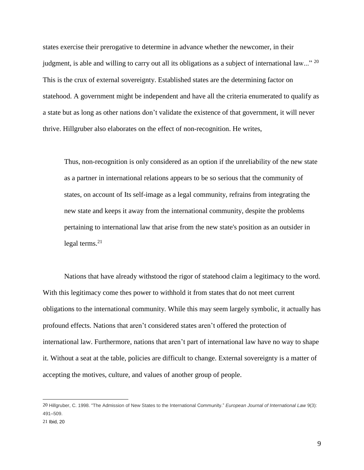states exercise their prerogative to determine in advance whether the newcomer, in their judgment, is able and willing to carry out all its obligations as a subject of international law..." <sup>20</sup> This is the crux of external sovereignty. Established states are the determining factor on statehood. A government might be independent and have all the criteria enumerated to qualify as a state but as long as other nations don't validate the existence of that government, it will never thrive. Hillgruber also elaborates on the effect of non-recognition. He writes,

Thus, non-recognition is only considered as an option if the unreliability of the new state as a partner in international relations appears to be so serious that the community of states, on account of Its self-image as a legal community, refrains from integrating the new state and keeps it away from the international community, despite the problems pertaining to international law that arise from the new state's position as an outsider in legal terms. $21$ 

Nations that have already withstood the rigor of statehood claim a legitimacy to the word. With this legitimacy come thes power to withhold it from states that do not meet current obligations to the international community. While this may seem largely symbolic, it actually has profound effects. Nations that aren't considered states aren't offered the protection of international law. Furthermore, nations that aren't part of international law have no way to shape it. Without a seat at the table, policies are difficult to change. External sovereignty is a matter of accepting the motives, culture, and values of another group of people.

<sup>20</sup> Hillgruber, C. 1998. "The Admission of New States to the International Community." *European Journal of International Law* 9(3): 491–509.

<sup>21</sup> Ibid, 20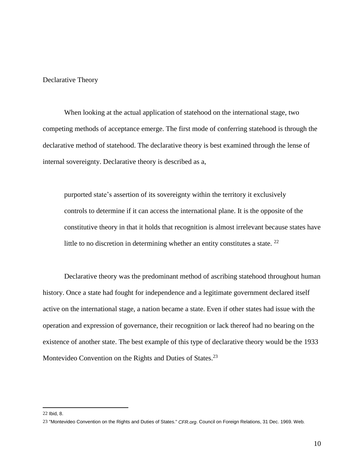Declarative Theory

When looking at the actual application of statehood on the international stage, two competing methods of acceptance emerge. The first mode of conferring statehood is through the declarative method of statehood. The declarative theory is best examined through the lense of internal sovereignty. Declarative theory is described as a,

purported state's assertion of its sovereignty within the territory it exclusively controls to determine if it can access the international plane. It is the opposite of the constitutive theory in that it holds that recognition is almost irrelevant because states have little to no discretion in determining whether an entity constitutes a state.  $22$ 

Declarative theory was the predominant method of ascribing statehood throughout human history. Once a state had fought for independence and a legitimate government declared itself active on the international stage, a nation became a state. Even if other states had issue with the operation and expression of governance, their recognition or lack thereof had no bearing on the existence of another state. The best example of this type of declarative theory would be the 1933 Montevideo Convention on the Rights and Duties of States.<sup>23</sup>

<sup>22</sup> Ibid, 8.

<sup>23</sup> "Montevideo Convention on the Rights and Duties of States." *CFR.org*. Council on Foreign Relations, 31 Dec. 1969. Web.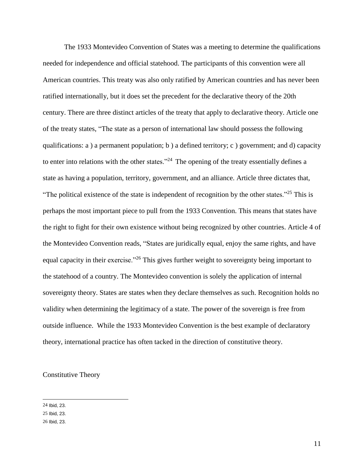The 1933 Montevideo Convention of States was a meeting to determine the qualifications needed for independence and official statehood. The participants of this convention were all American countries. This treaty was also only ratified by American countries and has never been ratified internationally, but it does set the precedent for the declarative theory of the 20th century. There are three distinct articles of the treaty that apply to declarative theory. Article one of the treaty states, "The state as a person of international law should possess the following qualifications: a ) a permanent population; b ) a defined territory; c ) government; and d) capacity to enter into relations with the other states."<sup>24</sup> The opening of the treaty essentially defines a state as having a population, territory, government, and an alliance. Article three dictates that, "The political existence of the state is independent of recognition by the other states."<sup>25</sup> This is perhaps the most important piece to pull from the 1933 Convention. This means that states have the right to fight for their own existence without being recognized by other countries. Article 4 of the Montevideo Convention reads, "States are juridically equal, enjoy the same rights, and have equal capacity in their exercise."<sup>26</sup> This gives further weight to sovereignty being important to the statehood of a country. The Montevideo convention is solely the application of internal sovereignty theory. States are states when they declare themselves as such. Recognition holds no validity when determining the legitimacy of a state. The power of the sovereign is free from outside influence. While the 1933 Montevideo Convention is the best example of declaratory theory, international practice has often tacked in the direction of constitutive theory.

Constitutive Theory

<sup>24</sup> Ibid, 23.

<sup>25</sup> Ibid, 23.

<sup>26</sup> Ibid, 23.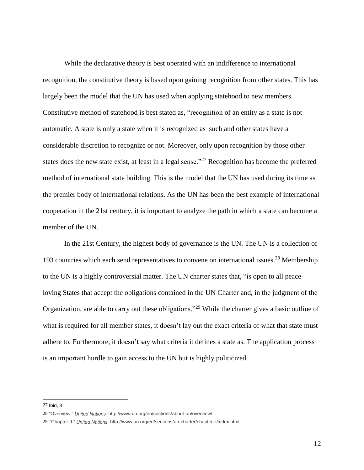While the declarative theory is best operated with an indifference to international recognition, the constitutive theory is based upon gaining recognition from other states. This has largely been the model that the UN has used when applying statehood to new members. Constitutive method of statehood is best stated as, "recognition of an entity as a state is not automatic. A state is only a state when it is recognized as such and other states have a considerable discretion to recognize or not. Moreover, only upon recognition by those other states does the new state exist, at least in a legal sense."<sup>27</sup> Recognition has become the preferred method of international state building. This is the model that the UN has used during its time as the premier body of international relations. As the UN has been the best example of international cooperation in the 21st century, it is important to analyze the path in which a state can become a member of the UN.

In the 21st Century, the highest body of governance is the UN. The UN is a collection of 193 countries which each send representatives to convene on international issues.<sup>28</sup> Membership to the UN is a highly controversial matter. The UN charter states that, "is open to all peaceloving States that accept the obligations contained in the UN Charter and, in the judgment of the Organization, are able to carry out these obligations."<sup>29</sup> While the charter gives a basic outline of what is required for all member states, it doesn't lay out the exact criteria of what that state must adhere to. Furthermore, it doesn't say what criteria it defines a state as. The application process is an important hurdle to gain access to the UN but is highly politicized.

<sup>27</sup> Ibid, 8

<sup>28</sup> "Overview." *United Nations*. http://www.un.org/en/sections/about-un/overview/

<sup>29</sup> "Chapter II." *United Nations*. http://www.un.org/en/sections/un-charter/chapter-ii/index.html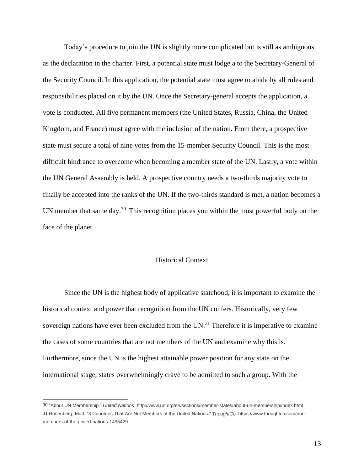Today's procedure to join the UN is slightly more complicated but is still as ambiguous as the declaration in the charter. First, a potential state must lodge a to the Secretary-General of the Security Council. In this application, the potential state must agree to abide by all rules and responsibilities placed on it by the UN. Once the Secretary-general accepts the application, a vote is conducted. All five permanent members (the United States, Russia, China, the United Kingdom, and France) must agree with the inclusion of the nation. From there, a prospective state must secure a total of nine votes from the 15-member Security Council. This is the most difficult hindrance to overcome when becoming a member state of the UN. Lastly, a vote within the UN General Assembly is held. A prospective country needs a two-thirds majority vote to finally be accepted into the ranks of the UN. If the two-thirds standard is met, a nation becomes a UN member that same day.<sup>30</sup> This recognition places you within the most powerful body on the face of the planet.

#### Historical Context

Since the UN is the highest body of applicative statehood, it is important to examine the historical context and power that recognition from the UN confers. Historically, very few sovereign nations have ever been excluded from the  $UN.^{31}$  Therefore it is imperative to examine the cases of some countries that are not members of the UN and examine why this is. Furthermore, since the UN is the highest attainable power position for any state on the international stage, states overwhelmingly crave to be admitted to such a group. With the

<sup>30</sup> "About UN Membership." *United Nations*. http://www.un.org/en/sections/member-states/about-un-membership/index.html 31 Rosenberg, Matt. "3 Countries That Are Not Members of the United Nations." *ThoughtCo*. https://www.thoughtco.com/nonmembers-of-the-united-nations-1435429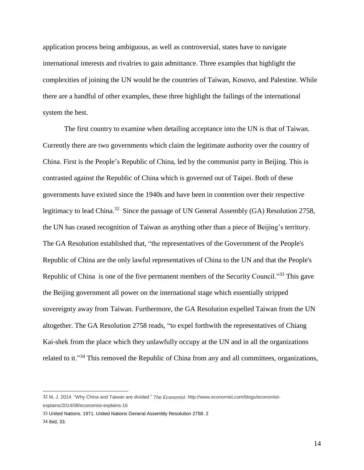application process being ambiguous, as well as controversial, states have to navigate international interests and rivalries to gain admittance. Three examples that highlight the complexities of joining the UN would be the countries of Taiwan, Kosovo, and Palestine. While there are a handful of other examples, these three highlight the failings of the international system the best.

The first country to examine when detailing acceptance into the UN is that of Taiwan. Currently there are two governments which claim the legitimate authority over the country of China. First is the People's Republic of China, led by the communist party in Beijing. This is contrasted against the Republic of China which is governed out of Taipei. Both of these governments have existed since the 1940s and have been in contention over their respective legitimacy to lead China.<sup>32</sup> Since the passage of UN General Assembly (GA) Resolution 2758, the UN has ceased recognition of Taiwan as anything other than a piece of Beijing's territory. The GA Resolution established that, "the representatives of the Government of the People's Republic of China are the only lawful representatives of China to the UN and that the People's Republic of China is one of the five permanent members of the Security Council."<sup>33</sup> This gave the Beijing government all power on the international stage which essentially stripped sovereignty away from Taiwan. Furthermore, the GA Resolution expelled Taiwan from the UN altogether. The GA Resolution 2758 reads, "to expel forthwith the representatives of Chiang Kai-shek from the place which they unlawfully occupy at the UN and in all the organizations related to it."<sup>34</sup> This removed the Republic of China from any and all committees, organizations,

<sup>32</sup> M, J. 2014. "Why China and Taiwan are divided." *The Economist*. http://www.economist.com/blogs/economistexplains/2014/08/economist-explains-16

<sup>33</sup> United Nations. 1971. United Nations General Assembly Resolution 2758. 2 34 Ibid, 33.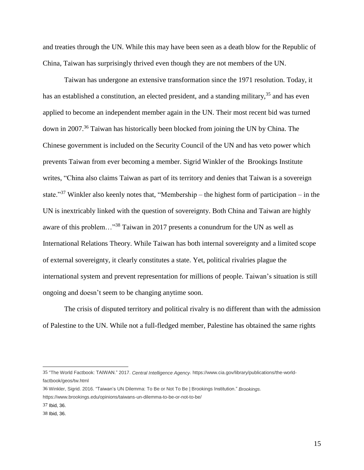and treaties through the UN. While this may have been seen as a death blow for the Republic of China, Taiwan has surprisingly thrived even though they are not members of the UN.

Taiwan has undergone an extensive transformation since the 1971 resolution. Today, it has an established a constitution, an elected president, and a standing military,  $35$  and has even applied to become an independent member again in the UN. Their most recent bid was turned down in 2007.<sup>36</sup> Taiwan has historically been blocked from joining the UN by China. The Chinese government is included on the Security Council of the UN and has veto power which prevents Taiwan from ever becoming a member. Sigrid Winkler of the Brookings Institute writes, "China also claims Taiwan as part of its territory and denies that Taiwan is a sovereign state."<sup>37</sup> Winkler also keenly notes that, "Membership – the highest form of participation – in the UN is inextricably linked with the question of sovereignty. Both China and Taiwan are highly aware of this problem…"<sup>38</sup> Taiwan in 2017 presents a conundrum for the UN as well as International Relations Theory. While Taiwan has both internal sovereignty and a limited scope of external sovereignty, it clearly constitutes a state. Yet, political rivalries plague the international system and prevent representation for millions of people. Taiwan's situation is still ongoing and doesn't seem to be changing anytime soon.

The crisis of disputed territory and political rivalry is no different than with the admission of Palestine to the UN. While not a full-fledged member, Palestine has obtained the same rights

<sup>35</sup> "The World Factbook: TAIWAN." 2017. *Central Intelligence Agency*. https://www.cia.gov/library/publications/the-worldfactbook/geos/tw.html

<sup>36</sup> Winkler, Sigrid. 2016. "Taiwan's UN Dilemma: To Be or Not To Be | Brookings Institution." *Brookings*. https://www.brookings.edu/opinions/taiwans-un-dilemma-to-be-or-not-to-be/

<sup>37</sup> Ibid, 36.

<sup>38</sup> Ibid, 36.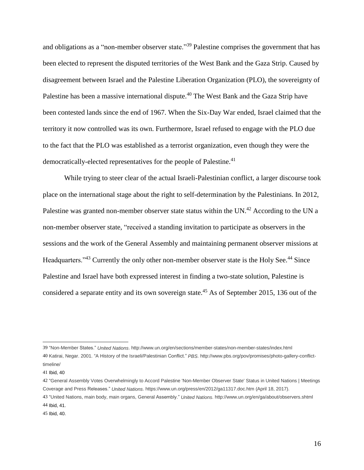and obligations as a "non-member observer state."<sup>39</sup> Palestine comprises the government that has been elected to represent the disputed territories of the West Bank and the Gaza Strip. Caused by disagreement between Israel and the Palestine Liberation Organization (PLO), the sovereignty of Palestine has been a massive international dispute.<sup>40</sup> The West Bank and the Gaza Strip have been contested lands since the end of 1967. When the Six-Day War ended, Israel claimed that the territory it now controlled was its own. Furthermore, Israel refused to engage with the PLO due to the fact that the PLO was established as a terrorist organization, even though they were the democratically-elected representatives for the people of Palestine.<sup>41</sup>

While trying to steer clear of the actual Israeli-Palestinian conflict, a larger discourse took place on the international stage about the right to self-determination by the Palestinians. In 2012, Palestine was granted non-member observer state status within the UN.<sup>42</sup> According to the UN a non-member observer state, "received a standing invitation to participate as observers in the sessions and the work of the General Assembly and maintaining permanent observer missions at Headquarters."<sup>43</sup> Currently the only other non-member observer state is the Holy See.<sup>44</sup> Since Palestine and Israel have both expressed interest in finding a two-state solution, Palestine is considered a separate entity and its own sovereign state.<sup>45</sup> As of September 2015, 136 out of the

<sup>39</sup> "Non-Member States." *United Nations*. http://www.un.org/en/sections/member-states/non-member-states/index.html 40 Katirai, Negar. 2001. "A History of the Israeli/Palestinian Conflict." *PBS*. http://www.pbs.org/pov/promises/photo-gallery-conflicttimeline/

<sup>41</sup> Ibid, 40

<sup>42</sup> "General Assembly Votes Overwhelmingly to Accord Palestine 'Non-Member Observer State' Status in United Nations | Meetings Coverage and Press Releases." *United Nations*. https://www.un.org/press/en/2012/ga11317.doc.htm (April 18, 2017).

<sup>43</sup> "United Nations, main body, main organs, General Assembly." *United Nations*. http://www.un.org/en/ga/about/observers.shtml 44 Ibid, 41.

<sup>45</sup> Ibid, 40.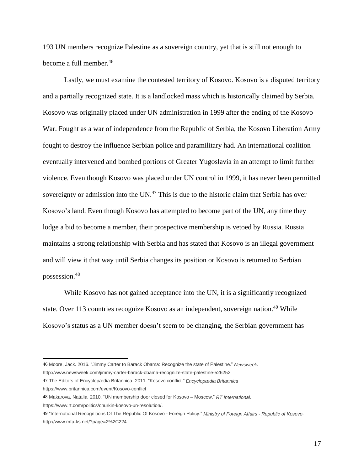193 UN members recognize Palestine as a sovereign country, yet that is still not enough to become a full member.<sup>46</sup>

Lastly, we must examine the contested territory of Kosovo. Kosovo is a disputed territory and a partially recognized state. It is a landlocked mass which is historically claimed by Serbia. Kosovo was originally placed under UN administration in 1999 after the ending of the Kosovo War. Fought as a war of independence from the Republic of Serbia, the Kosovo Liberation Army fought to destroy the influence Serbian police and paramilitary had. An international coalition eventually intervened and bombed portions of Greater Yugoslavia in an attempt to limit further violence. Even though Kosovo was placed under UN control in 1999, it has never been permitted sovereignty or admission into the UN.<sup>47</sup> This is due to the historic claim that Serbia has over Kosovo's land. Even though Kosovo has attempted to become part of the UN, any time they lodge a bid to become a member, their prospective membership is vetoed by Russia. Russia maintains a strong relationship with Serbia and has stated that Kosovo is an illegal government and will view it that way until Serbia changes its position or Kosovo is returned to Serbian possession.<sup>48</sup>

While Kosovo has not gained acceptance into the UN, it is a significantly recognized state. Over 113 countries recognize Kosovo as an independent, sovereign nation.<sup>49</sup> While Kosovo's status as a UN member doesn't seem to be changing, the Serbian government has

47 The Editors of Encyclopædia Britannica. 2011. "Kosovo conflict." *Encyclopædia Britannica*.

<sup>46</sup> Moore, Jack. 2016. "Jimmy Carter to Barack Obama: Recognize the state of Palestine." *Newsweek*.

http://www.newsweek.com/jimmy-carter-barack-obama-recognize-state-palestine-526252

https://www.britannica.com/event/Kosovo-conflict

<sup>48</sup> Makarova, Natalia. 2010. "UN membership door closed for Kosovo – Moscow." *RT International*.

https://www.rt.com/politics/churkin-kosovo-un-resolution/.

<sup>49</sup> "International Recognitions Of The Republic Of Kosovo - Foreign Policy." *Ministry of Foreign Affairs - Republic of Kosovo*. http://www.mfa-ks.net/?page=2%2C224.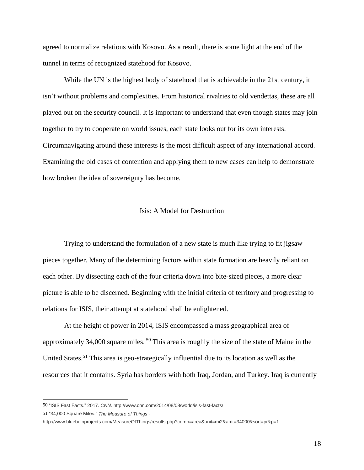agreed to normalize relations with Kosovo. As a result, there is some light at the end of the tunnel in terms of recognized statehood for Kosovo.

While the UN is the highest body of statehood that is achievable in the 21st century, it isn't without problems and complexities. From historical rivalries to old vendettas, these are all played out on the security council. It is important to understand that even though states may join together to try to cooperate on world issues, each state looks out for its own interests. Circumnavigating around these interests is the most difficult aspect of any international accord. Examining the old cases of contention and applying them to new cases can help to demonstrate how broken the idea of sovereignty has become.

#### Isis: A Model for Destruction

Trying to understand the formulation of a new state is much like trying to fit jigsaw pieces together. Many of the determining factors within state formation are heavily reliant on each other. By dissecting each of the four criteria down into bite-sized pieces, a more clear picture is able to be discerned. Beginning with the initial criteria of territory and progressing to relations for ISIS, their attempt at statehood shall be enlightened.

At the height of power in 2014, ISIS encompassed a mass geographical area of approximately 34,000 square miles. <sup>50</sup> This area is roughly the size of the state of Maine in the United States.<sup>51</sup> This area is geo-strategically influential due to its location as well as the resources that it contains. Syria has borders with both Iraq, Jordan, and Turkey. Iraq is currently

<sup>50</sup> "ISIS Fast Facts." 2017. *CNN*. http://www.cnn.com/2014/08/08/world/isis-fast-facts/

<sup>51</sup> "34,000 Square Miles." *The Measure of Things* .

http://www.bluebulbprojects.com/MeasureOfThings/results.php?comp=area&unit=mi2&amt=34000&sort=pr&p=1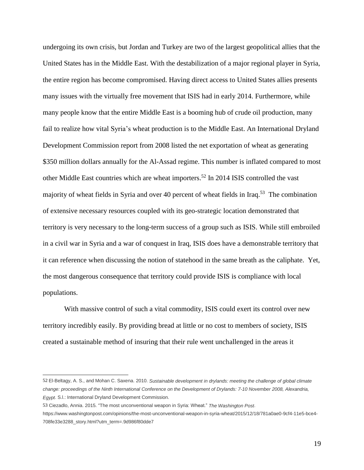undergoing its own crisis, but Jordan and Turkey are two of the largest geopolitical allies that the United States has in the Middle East. With the destabilization of a major regional player in Syria, the entire region has become compromised. Having direct access to United States allies presents many issues with the virtually free movement that ISIS had in early 2014. Furthermore, while many people know that the entire Middle East is a booming hub of crude oil production, many fail to realize how vital Syria's wheat production is to the Middle East. An International Dryland Development Commission report from 2008 listed the net exportation of wheat as generating \$350 million dollars annually for the Al-Assad regime. This number is inflated compared to most other Middle East countries which are wheat importers.<sup>52</sup> In 2014 ISIS controlled the vast majority of wheat fields in Syria and over 40 percent of wheat fields in Iraq.<sup>53</sup> The combination of extensive necessary resources coupled with its geo-strategic location demonstrated that territory is very necessary to the long-term success of a group such as ISIS. While still embroiled in a civil war in Syria and a war of conquest in Iraq, ISIS does have a demonstrable territory that it can reference when discussing the notion of statehood in the same breath as the caliphate. Yet, the most dangerous consequence that territory could provide ISIS is compliance with local populations.

With massive control of such a vital commodity, ISIS could exert its control over new territory incredibly easily. By providing bread at little or no cost to members of society, ISIS created a sustainable method of insuring that their rule went unchallenged in the areas it

<sup>52</sup> El-Beltagy, A. S., and Mohan C. Saxena. 2010. *Sustainable development in drylands: meeting the challenge of global climate* change: proceedings of the Ninth International Conference on the Development of Drylands: 7-10 November 2008, Alexandria, *Egypt*. S.l.: International Dryland Development Commission.

<sup>53</sup> Ciezadlo, Annia. 2015. "The most unconventional weapon in Syria: Wheat." *The Washington Post*.

https://www.washingtonpost.com/opinions/the-most-unconventional-weapon-in-syria-wheat/2015/12/18/781a0ae0-9cf4-11e5-bce4- 708fe33e3288\_story.html?utm\_term=.9d986f80dde7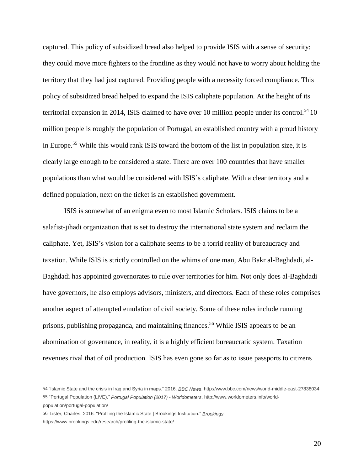captured. This policy of subsidized bread also helped to provide ISIS with a sense of security: they could move more fighters to the frontline as they would not have to worry about holding the territory that they had just captured. Providing people with a necessity forced compliance. This policy of subsidized bread helped to expand the ISIS caliphate population. At the height of its territorial expansion in 2014, ISIS claimed to have over 10 million people under its control.<sup>54</sup> 10 million people is roughly the population of Portugal, an established country with a proud history in Europe.<sup>55</sup> While this would rank ISIS toward the bottom of the list in population size, it is clearly large enough to be considered a state. There are over 100 countries that have smaller populations than what would be considered with ISIS's caliphate. With a clear territory and a defined population, next on the ticket is an established government.

ISIS is somewhat of an enigma even to most Islamic Scholars. ISIS claims to be a salafist-jihadi organization that is set to destroy the international state system and reclaim the caliphate. Yet, ISIS's vision for a caliphate seems to be a torrid reality of bureaucracy and taxation. While ISIS is strictly controlled on the whims of one man, Abu Bakr al-Baghdadi, al-Baghdadi has appointed governorates to rule over territories for him. Not only does al-Baghdadi have governors, he also employs advisors, ministers, and directors. Each of these roles comprises another aspect of attempted emulation of civil society. Some of these roles include running prisons, publishing propaganda, and maintaining finances.<sup>56</sup> While ISIS appears to be an abomination of governance, in reality, it is a highly efficient bureaucratic system. Taxation revenues rival that of oil production. ISIS has even gone so far as to issue passports to citizens

<sup>54</sup> "Islamic State and the crisis in Iraq and Syria in maps." 2016. *BBC News*. http://www.bbc.com/news/world-middle-east-27838034 55 "Portugal Population (LIVE)." *Portugal Population (2017) - Worldometers*. http://www.worldometers.info/worldpopulation/portugal-population/

<sup>56</sup> Lister, Charles. 2016. "Profiling the Islamic State | Brookings Institution." *Brookings*. https://www.brookings.edu/research/profiling-the-islamic-state/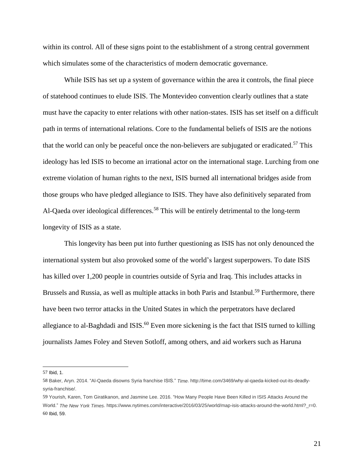within its control. All of these signs point to the establishment of a strong central government which simulates some of the characteristics of modern democratic governance.

While ISIS has set up a system of governance within the area it controls, the final piece of statehood continues to elude ISIS. The Montevideo convention clearly outlines that a state must have the capacity to enter relations with other nation-states. ISIS has set itself on a difficult path in terms of international relations. Core to the fundamental beliefs of ISIS are the notions that the world can only be peaceful once the non-believers are subjugated or eradicated.<sup>57</sup> This ideology has led ISIS to become an irrational actor on the international stage. Lurching from one extreme violation of human rights to the next, ISIS burned all international bridges aside from those groups who have pledged allegiance to ISIS. They have also definitively separated from Al-Qaeda over ideological differences.<sup>58</sup> This will be entirely detrimental to the long-term longevity of ISIS as a state.

This longevity has been put into further questioning as ISIS has not only denounced the international system but also provoked some of the world's largest superpowers. To date ISIS has killed over 1,200 people in countries outside of Syria and Iraq. This includes attacks in Brussels and Russia, as well as multiple attacks in both Paris and Istanbul.<sup>59</sup> Furthermore, there have been two terror attacks in the United States in which the perpetrators have declared allegiance to al-Baghdadi and ISIS.<sup>60</sup> Even more sickening is the fact that ISIS turned to killing journalists James Foley and Steven Sotloff, among others, and aid workers such as Haruna

<sup>57</sup> Ibid, 1.

<sup>58</sup> Baker, Aryn. 2014. "Al-Qaeda disowns Syria franchise ISIS." *Time*. http://time.com/3469/why-al-qaeda-kicked-out-its-deadlysyria-franchise/.

<sup>59</sup> Yourish, Karen, Tom Giratikanon, and Jasmine Lee. 2016. "How Many People Have Been Killed in ISIS Attacks Around the World." *The New York Times*. https://www.nytimes.com/interactive/2016/03/25/world/map-isis-attacks-around-the-world.html?\_r=0. 60 Ibid, 59.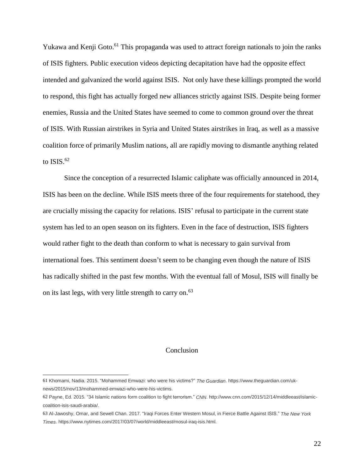Yukawa and Kenji Goto.<sup>61</sup> This propaganda was used to attract foreign nationals to join the ranks of ISIS fighters. Public execution videos depicting decapitation have had the opposite effect intended and galvanized the world against ISIS. Not only have these killings prompted the world to respond, this fight has actually forged new alliances strictly against ISIS. Despite being former enemies, Russia and the United States have seemed to come to common ground over the threat of ISIS. With Russian airstrikes in Syria and United States airstrikes in Iraq, as well as a massive coalition force of primarily Muslim nations, all are rapidly moving to dismantle anything related to  $ISIS.<sup>62</sup>$ 

Since the conception of a resurrected Islamic caliphate was officially announced in 2014, ISIS has been on the decline. While ISIS meets three of the four requirements for statehood, they are crucially missing the capacity for relations. ISIS' refusal to participate in the current state system has led to an open season on its fighters. Even in the face of destruction, ISIS fighters would rather fight to the death than conform to what is necessary to gain survival from international foes. This sentiment doesn't seem to be changing even though the nature of ISIS has radically shifted in the past few months. With the eventual fall of Mosul, ISIS will finally be on its last legs, with very little strength to carry on.<sup>63</sup>

#### Conclusion

<sup>61</sup> Khomami, Nadia. 2015. "Mohammed Emwazi: who were his victims?" *The Guardian*. https://www.theguardian.com/uknews/2015/nov/13/mohammed-emwazi-who-were-his-victims.

<sup>62</sup> Payne, Ed. 2015. "34 Islamic nations form coalition to fight terrorism." *CNN*. http://www.cnn.com/2015/12/14/middleeast/islamiccoalition-isis-saudi-arabia/.

<sup>63</sup> Al-Jawoshy, Omar, and Sewell Chan. 2017. "Iraqi Forces Enter Western Mosul, in Fierce Battle Against ISIS." *The New York Times*. https://www.nytimes.com/2017/03/07/world/middleeast/mosul-iraq-isis.html.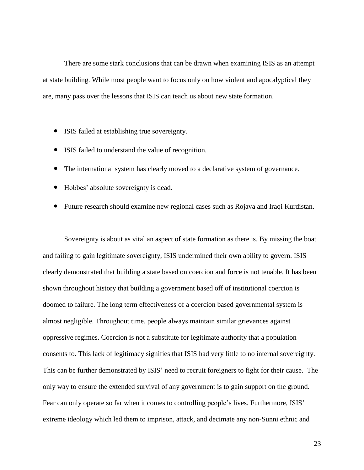There are some stark conclusions that can be drawn when examining ISIS as an attempt at state building. While most people want to focus only on how violent and apocalyptical they are, many pass over the lessons that ISIS can teach us about new state formation.

- ISIS failed at establishing true sovereignty.
- ISIS failed to understand the value of recognition.
- The international system has clearly moved to a declarative system of governance.
- Hobbes' absolute sovereignty is dead.
- Future research should examine new regional cases such as Rojava and Iraqi Kurdistan.

Sovereignty is about as vital an aspect of state formation as there is. By missing the boat and failing to gain legitimate sovereignty, ISIS undermined their own ability to govern. ISIS clearly demonstrated that building a state based on coercion and force is not tenable. It has been shown throughout history that building a government based off of institutional coercion is doomed to failure. The long term effectiveness of a coercion based governmental system is almost negligible. Throughout time, people always maintain similar grievances against oppressive regimes. Coercion is not a substitute for legitimate authority that a population consents to. This lack of legitimacy signifies that ISIS had very little to no internal sovereignty. This can be further demonstrated by ISIS' need to recruit foreigners to fight for their cause. The only way to ensure the extended survival of any government is to gain support on the ground. Fear can only operate so far when it comes to controlling people's lives. Furthermore, ISIS' extreme ideology which led them to imprison, attack, and decimate any non-Sunni ethnic and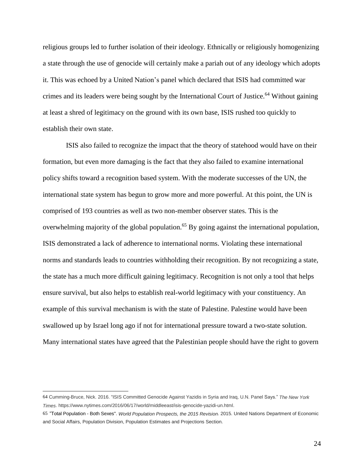religious groups led to further isolation of their ideology. Ethnically or religiously homogenizing a state through the use of genocide will certainly make a pariah out of any ideology which adopts it. This was echoed by a United Nation's panel which declared that ISIS had committed war crimes and its leaders were being sought by the International Court of Justice.<sup>64</sup> Without gaining at least a shred of legitimacy on the ground with its own base, ISIS rushed too quickly to establish their own state.

ISIS also failed to recognize the impact that the theory of statehood would have on their formation, but even more damaging is the fact that they also failed to examine international policy shifts toward a recognition based system. With the moderate successes of the UN, the international state system has begun to grow more and more powerful. At this point, the UN is comprised of 193 countries as well as two non-member observer states. This is the overwhelming majority of the global population.<sup>65</sup> By going against the international population, ISIS demonstrated a lack of adherence to international norms. Violating these international norms and standards leads to countries withholding their recognition. By not recognizing a state, the state has a much more difficult gaining legitimacy. Recognition is not only a tool that helps ensure survival, but also helps to establish real-world legitimacy with your constituency. An example of this survival mechanism is with the state of Palestine. Palestine would have been swallowed up by Israel long ago if not for international pressure toward a two-state solution. Many international states have agreed that the Palestinian people should have the right to govern

<sup>64</sup> Cumming-Bruce, Nick. 2016. "ISIS Committed Genocide Against Yazidis in Syria and Iraq, U.N. Panel Says." *The New York Times*. https://www.nytimes.com/2016/06/17/world/middleeast/isis-genocide-yazidi-un.html.

<sup>65</sup> "Total Population - Both Sexes". *World Population Prospects, the 2015 Revision*. 2015. United Nations Department of Economic and Social Affairs, Population Division, Population Estimates and Projections Section.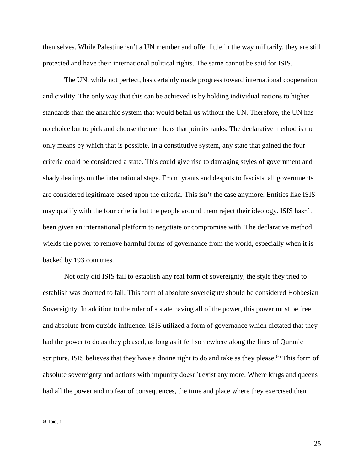themselves. While Palestine isn't a UN member and offer little in the way militarily, they are still protected and have their international political rights. The same cannot be said for ISIS.

The UN, while not perfect, has certainly made progress toward international cooperation and civility. The only way that this can be achieved is by holding individual nations to higher standards than the anarchic system that would befall us without the UN. Therefore, the UN has no choice but to pick and choose the members that join its ranks. The declarative method is the only means by which that is possible. In a constitutive system, any state that gained the four criteria could be considered a state. This could give rise to damaging styles of government and shady dealings on the international stage. From tyrants and despots to fascists, all governments are considered legitimate based upon the criteria. This isn't the case anymore. Entities like ISIS may qualify with the four criteria but the people around them reject their ideology. ISIS hasn't been given an international platform to negotiate or compromise with. The declarative method wields the power to remove harmful forms of governance from the world, especially when it is backed by 193 countries.

Not only did ISIS fail to establish any real form of sovereignty, the style they tried to establish was doomed to fail. This form of absolute sovereignty should be considered Hobbesian Sovereignty. In addition to the ruler of a state having all of the power, this power must be free and absolute from outside influence. ISIS utilized a form of governance which dictated that they had the power to do as they pleased, as long as it fell somewhere along the lines of Quranic scripture. ISIS believes that they have a divine right to do and take as they please.<sup>66</sup> This form of absolute sovereignty and actions with impunity doesn't exist any more. Where kings and queens had all the power and no fear of consequences, the time and place where they exercised their

<sup>66</sup> Ibid, 1.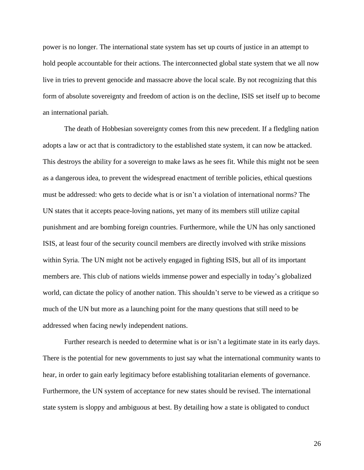power is no longer. The international state system has set up courts of justice in an attempt to hold people accountable for their actions. The interconnected global state system that we all now live in tries to prevent genocide and massacre above the local scale. By not recognizing that this form of absolute sovereignty and freedom of action is on the decline, ISIS set itself up to become an international pariah.

The death of Hobbesian sovereignty comes from this new precedent. If a fledgling nation adopts a law or act that is contradictory to the established state system, it can now be attacked. This destroys the ability for a sovereign to make laws as he sees fit. While this might not be seen as a dangerous idea, to prevent the widespread enactment of terrible policies, ethical questions must be addressed: who gets to decide what is or isn't a violation of international norms? The UN states that it accepts peace-loving nations, yet many of its members still utilize capital punishment and are bombing foreign countries. Furthermore, while the UN has only sanctioned ISIS, at least four of the security council members are directly involved with strike missions within Syria. The UN might not be actively engaged in fighting ISIS, but all of its important members are. This club of nations wields immense power and especially in today's globalized world, can dictate the policy of another nation. This shouldn't serve to be viewed as a critique so much of the UN but more as a launching point for the many questions that still need to be addressed when facing newly independent nations.

Further research is needed to determine what is or isn't a legitimate state in its early days. There is the potential for new governments to just say what the international community wants to hear, in order to gain early legitimacy before establishing totalitarian elements of governance. Furthermore, the UN system of acceptance for new states should be revised. The international state system is sloppy and ambiguous at best. By detailing how a state is obligated to conduct

26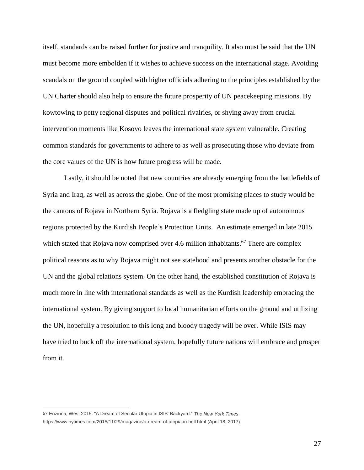itself, standards can be raised further for justice and tranquility. It also must be said that the UN must become more embolden if it wishes to achieve success on the international stage. Avoiding scandals on the ground coupled with higher officials adhering to the principles established by the UN Charter should also help to ensure the future prosperity of UN peacekeeping missions. By kowtowing to petty regional disputes and political rivalries, or shying away from crucial intervention moments like Kosovo leaves the international state system vulnerable. Creating common standards for governments to adhere to as well as prosecuting those who deviate from the core values of the UN is how future progress will be made.

Lastly, it should be noted that new countries are already emerging from the battlefields of Syria and Iraq, as well as across the globe. One of the most promising places to study would be the cantons of Rojava in Northern Syria. Rojava is a fledgling state made up of autonomous regions protected by the Kurdish People's Protection Units. An estimate emerged in late 2015 which stated that Rojava now comprised over 4.6 million inhabitants.<sup>67</sup> There are complex political reasons as to why Rojava might not see statehood and presents another obstacle for the UN and the global relations system. On the other hand, the established constitution of Rojava is much more in line with international standards as well as the Kurdish leadership embracing the international system. By giving support to local humanitarian efforts on the ground and utilizing the UN, hopefully a resolution to this long and bloody tragedy will be over. While ISIS may have tried to buck off the international system, hopefully future nations will embrace and prosper from it.

<sup>67</sup> Enzinna, Wes. 2015. "A Dream of Secular Utopia in ISIS' Backyard." *The New York Times*. https://www.nytimes.com/2015/11/29/magazine/a-dream-of-utopia-in-hell.html (April 18, 2017).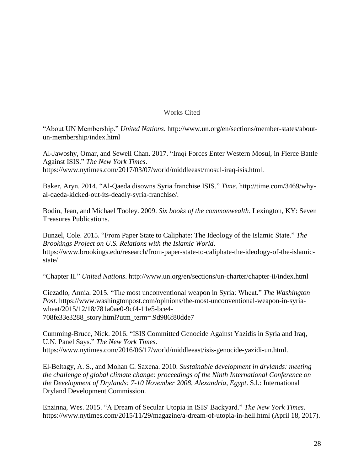#### Works Cited

"About UN Membership." *United Nations*. http://www.un.org/en/sections/member-states/aboutun-membership/index.html

Al-Jawoshy, Omar, and Sewell Chan. 2017. "Iraqi Forces Enter Western Mosul, in Fierce Battle Against ISIS." *The New York Times*. https://www.nytimes.com/2017/03/07/world/middleeast/mosul-iraq-isis.html.

Baker, Aryn. 2014. "Al-Qaeda disowns Syria franchise ISIS." *Time*. http://time.com/3469/whyal-qaeda-kicked-out-its-deadly-syria-franchise/.

Bodin, Jean, and Michael Tooley. 2009. *Six books of the commonwealth*. Lexington, KY: Seven Treasures Publications.

Bunzel, Cole. 2015. "From Paper State to Caliphate: The Ideology of the Islamic State." *The Brookings Project on U.S. Relations with the Islamic World*. https://www.brookings.edu/research/from-paper-state-to-caliphate-the-ideology-of-the-islamicstate/

"Chapter II." *United Nations*. http://www.un.org/en/sections/un-charter/chapter-ii/index.html

Ciezadlo, Annia. 2015. "The most unconventional weapon in Syria: Wheat." *The Washington Post*. https://www.washingtonpost.com/opinions/the-most-unconventional-weapon-in-syriawheat/2015/12/18/781a0ae0-9cf4-11e5-bce4- 708fe33e3288\_story.html?utm\_term=.9d986f80dde7

Cumming-Bruce, Nick. 2016. "ISIS Committed Genocide Against Yazidis in Syria and Iraq, U.N. Panel Says." *The New York Times*. https://www.nytimes.com/2016/06/17/world/middleeast/isis-genocide-yazidi-un.html.

El-Beltagy, A. S., and Mohan C. Saxena. 2010. *Sustainable development in drylands: meeting the challenge of global climate change: proceedings of the Ninth International Conference on the Development of Drylands: 7-10 November 2008, Alexandria, Egypt*. S.l.: International Dryland Development Commission.

Enzinna, Wes. 2015. "A Dream of Secular Utopia in ISIS' Backyard." *The New York Times*. https://www.nytimes.com/2015/11/29/magazine/a-dream-of-utopia-in-hell.html (April 18, 2017).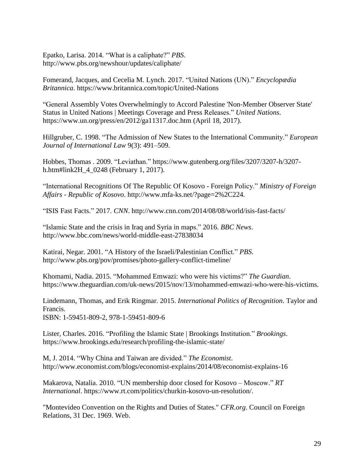Epatko, Larisa. 2014. "What is a caliphate?" *PBS*. http://www.pbs.org/newshour/updates/caliphate/

Fomerand, Jacques, and Cecelia M. Lynch. 2017. "United Nations (UN)." *Encyclopædia Britannica*. https://www.britannica.com/topic/United-Nations

"General Assembly Votes Overwhelmingly to Accord Palestine 'Non-Member Observer State' Status in United Nations | Meetings Coverage and Press Releases." *United Nations*. https://www.un.org/press/en/2012/ga11317.doc.htm (April 18, 2017).

Hillgruber, C. 1998. "The Admission of New States to the International Community." *European Journal of International Law* 9(3): 491–509.

Hobbes, Thomas . 2009. "Leviathan." https://www.gutenberg.org/files/3207/3207-h/3207 h.htm#link2H\_4\_0248 (February 1, 2017).

"International Recognitions Of The Republic Of Kosovo - Foreign Policy." *Ministry of Foreign Affairs - Republic of Kosovo*. http://www.mfa-ks.net/?page=2%2C224.

"ISIS Fast Facts." 2017. *CNN*. http://www.cnn.com/2014/08/08/world/isis-fast-facts/

"Islamic State and the crisis in Iraq and Syria in maps." 2016. *BBC News*. http://www.bbc.com/news/world-middle-east-27838034

Katirai, Negar. 2001. "A History of the Israeli/Palestinian Conflict." *PBS*. http://www.pbs.org/pov/promises/photo-gallery-conflict-timeline/

Khomami, Nadia. 2015. "Mohammed Emwazi: who were his victims?" *The Guardian*. https://www.theguardian.com/uk-news/2015/nov/13/mohammed-emwazi-who-were-his-victims.

Lindemann, Thomas, and Erik Ringmar. 2015. *International Politics of Recognition*. Taylor and Francis. ISBN: 1-59451-809-2, 978-1-59451-809-6

Lister, Charles. 2016. "Profiling the Islamic State | Brookings Institution." *Brookings*. https://www.brookings.edu/research/profiling-the-islamic-state/

M, J. 2014. "Why China and Taiwan are divided." *The Economist*. http://www.economist.com/blogs/economist-explains/2014/08/economist-explains-16

Makarova, Natalia. 2010. "UN membership door closed for Kosovo – Moscow." *RT International*. https://www.rt.com/politics/churkin-kosovo-un-resolution/.

"Montevideo Convention on the Rights and Duties of States." *CFR.org*. Council on Foreign Relations, 31 Dec. 1969. Web.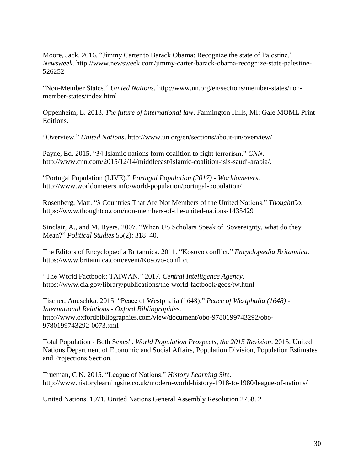Moore, Jack. 2016. "Jimmy Carter to Barack Obama: Recognize the state of Palestine." *Newsweek*. http://www.newsweek.com/jimmy-carter-barack-obama-recognize-state-palestine-526252

"Non-Member States." *United Nations*. http://www.un.org/en/sections/member-states/nonmember-states/index.html

Oppenheim, L. 2013. *The future of international law*. Farmington Hills, MI: Gale MOML Print Editions.

"Overview." *United Nations*. http://www.un.org/en/sections/about-un/overview/

Payne, Ed. 2015. "34 Islamic nations form coalition to fight terrorism." *CNN*. http://www.cnn.com/2015/12/14/middleeast/islamic-coalition-isis-saudi-arabia/.

"Portugal Population (LIVE)." *Portugal Population (2017) - Worldometers*. http://www.worldometers.info/world-population/portugal-population/

Rosenberg, Matt. "3 Countries That Are Not Members of the United Nations." *ThoughtCo*. https://www.thoughtco.com/non-members-of-the-united-nations-1435429

Sinclair, A., and M. Byers. 2007. "When US Scholars Speak of 'Sovereignty, what do they Mean?" *Political Studies* 55(2): 318–40.

The Editors of Encyclopædia Britannica. 2011. "Kosovo conflict." *Encyclopædia Britannica*. https://www.britannica.com/event/Kosovo-conflict

"The World Factbook: TAIWAN." 2017. *Central Intelligence Agency*. https://www.cia.gov/library/publications/the-world-factbook/geos/tw.html

Tischer, Anuschka. 2015. "Peace of Westphalia (1648)." *Peace of Westphalia (1648) - International Relations - Oxford Bibliographies*. http://www.oxfordbibliographies.com/view/document/obo-9780199743292/obo-9780199743292-0073.xml

Total Population - Both Sexes". *World Population Prospects, the 2015 Revision*. 2015. United Nations Department of Economic and Social Affairs, Population Division, Population Estimates and Projections Section.

Trueman, C N. 2015. "League of Nations." *History Learning Site*. http://www.historylearningsite.co.uk/modern-world-history-1918-to-1980/league-of-nations/

United Nations. 1971. United Nations General Assembly Resolution 2758. 2